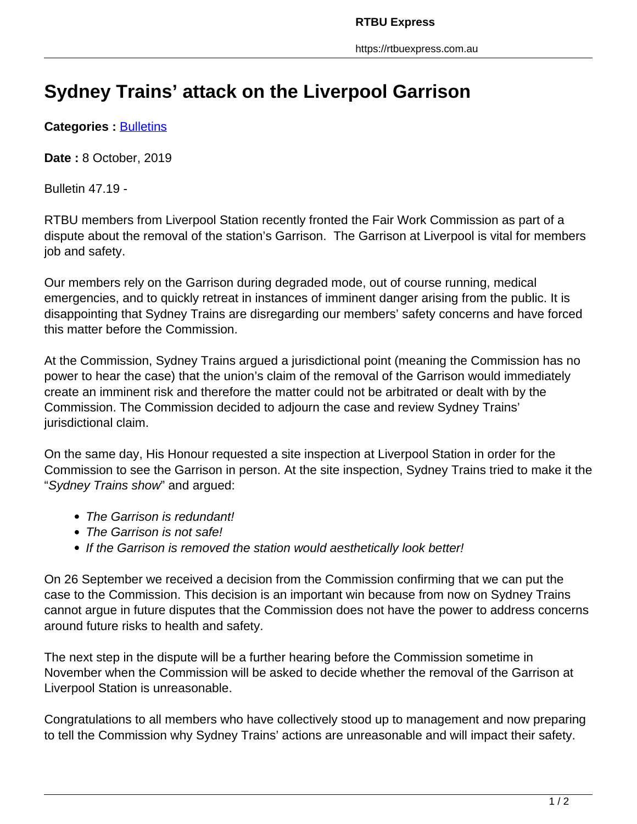## **Sydney Trains' attack on the Liverpool Garrison**

**Categories : [Bulletins](https://rtbuexpress.com.au/category/news/bulletins/)** 

**Date :** 8 October, 2019

Bulletin 47.19 -

RTBU members from Liverpool Station recently fronted the Fair Work Commission as part of a dispute about the removal of the station's Garrison. The Garrison at Liverpool is vital for members job and safety.

Our members rely on the Garrison during degraded mode, out of course running, medical emergencies, and to quickly retreat in instances of imminent danger arising from the public. It is disappointing that Sydney Trains are disregarding our members' safety concerns and have forced this matter before the Commission.

At the Commission, Sydney Trains argued a jurisdictional point (meaning the Commission has no power to hear the case) that the union's claim of the removal of the Garrison would immediately create an imminent risk and therefore the matter could not be arbitrated or dealt with by the Commission. The Commission decided to adjourn the case and review Sydney Trains' jurisdictional claim.

On the same day, His Honour requested a site inspection at Liverpool Station in order for the Commission to see the Garrison in person. At the site inspection, Sydney Trains tried to make it the "Sydney Trains show" and argued:

- The Garrison is redundant!
- The Garrison is not safe!
- If the Garrison is removed the station would aesthetically look better!

On 26 September we received a decision from the Commission confirming that we can put the case to the Commission. This decision is an important win because from now on Sydney Trains cannot argue in future disputes that the Commission does not have the power to address concerns around future risks to health and safety.

The next step in the dispute will be a further hearing before the Commission sometime in November when the Commission will be asked to decide whether the removal of the Garrison at Liverpool Station is unreasonable.

Congratulations to all members who have collectively stood up to management and now preparing to tell the Commission why Sydney Trains' actions are unreasonable and will impact their safety.